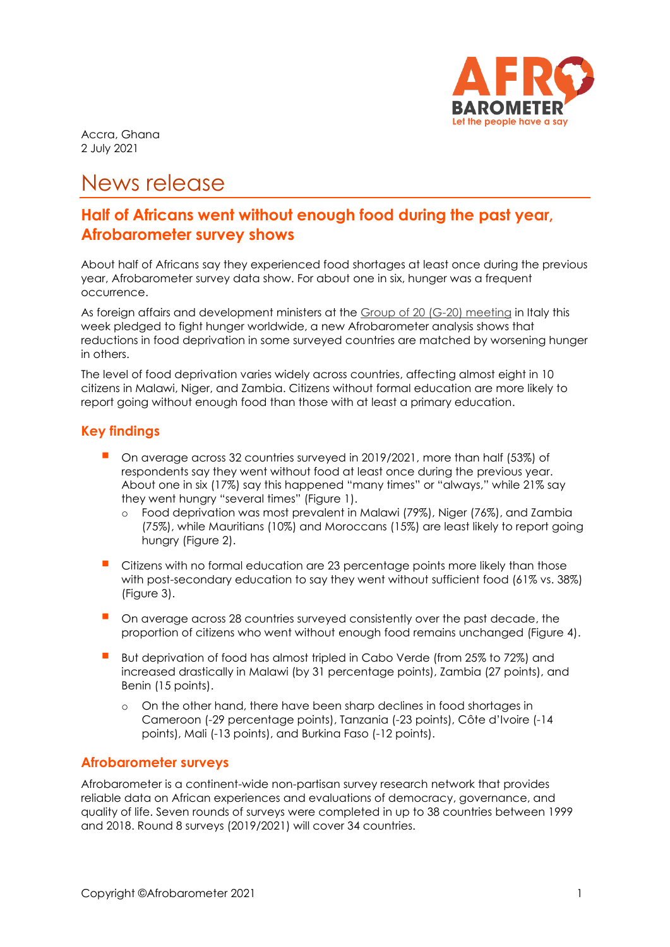

Accra, Ghana 2 July 2021

# News release

# **Half of Africans went without enough food during the past year, Afrobarometer survey shows**

About half of Africans say they experienced food shortages at least once during the previous year, Afrobarometer survey data show. For about one in six, hunger was a frequent occurrence.

As foreign affairs and development ministers at the [Group of 20 \(G-20\) meeting](https://www.euronews.com/2021/06/30/g20-talks-in-italy-yield-pledge-to-fight-hunger-in-africa-and-climate-change) in Italy this week pledged to fight hunger worldwide, a new Afrobarometer analysis shows that reductions in food deprivation in some surveyed countries are matched by worsening hunger in others.

The level of food deprivation varies widely across countries, affecting almost eight in 10 citizens in Malawi, Niger, and Zambia. Citizens without formal education are more likely to report going without enough food than those with at least a primary education.

### **Key findings**

- On average across 32 countries surveyed in 2019/2021, more than half (53%) of respondents say they went without food at least once during the previous year. About one in six (17%) say this happened "many times" or "always," while 21% say they went hungry "several times" (Figure 1).
	- o Food deprivation was most prevalent in Malawi (79%), Niger (76%), and Zambia (75%), while Mauritians (10%) and Moroccans (15%) are least likely to report going hungry (Figure 2).
- Citizens with no formal education are 23 percentage points more likely than those with post-secondary education to say they went without sufficient food (61% vs. 38%) (Figure 3).
- **•** On average across 28 countries surveyed consistently over the past decade, the proportion of citizens who went without enough food remains unchanged (Figure 4).
- But deprivation of food has almost tripled in Cabo Verde (from 25% to 72%) and increased drastically in Malawi (by 31 percentage points), Zambia (27 points), and Benin (15 points).
	- o On the other hand, there have been sharp declines in food shortages in Cameroon (-29 percentage points), Tanzania (-23 points), Côte d'Ivoire (-14 points), Mali (-13 points), and Burkina Faso (-12 points).

#### **Afrobarometer surveys**

Afrobarometer is a continent-wide non-partisan survey research network that provides reliable data on African experiences and evaluations of democracy, governance, and quality of life. Seven rounds of surveys were completed in up to 38 countries between 1999 and 2018. Round 8 surveys (2019/2021) will cover 34 countries.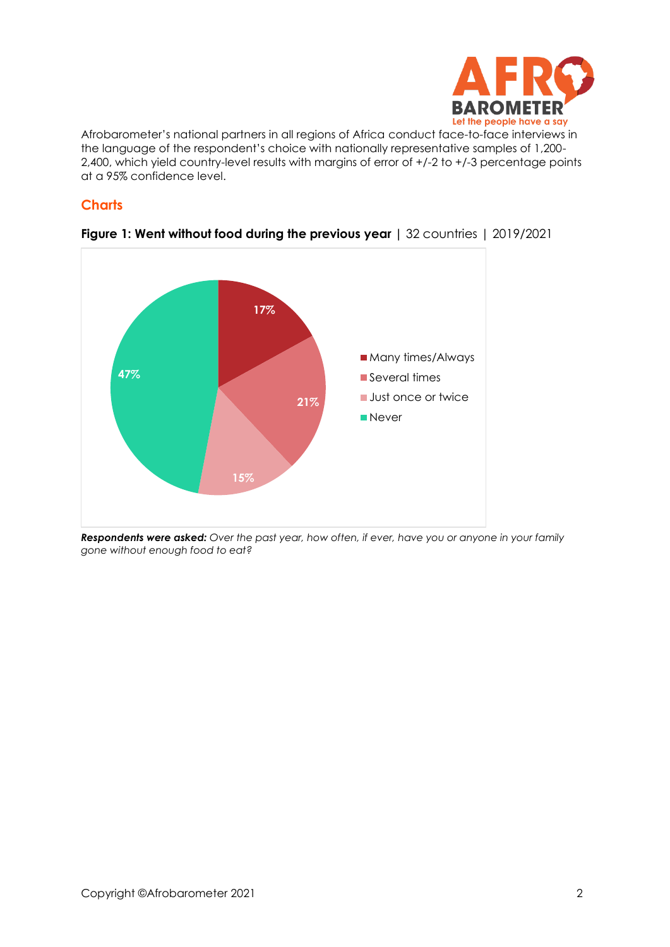

Afrobarometer's national partners in all regions of Africa conduct face-to-face interviews in the language of the respondent's choice with nationally representative samples of 1,200- 2,400, which yield country-level results with margins of error of +/-2 to +/-3 percentage points at a 95% confidence level.

#### **Charts**



#### **Figure 1: Went without food during the previous year |** 32 countries | 2019/2021

*Respondents were asked: Over the past year, how often, if ever, have you or anyone in your family gone without enough food to eat?*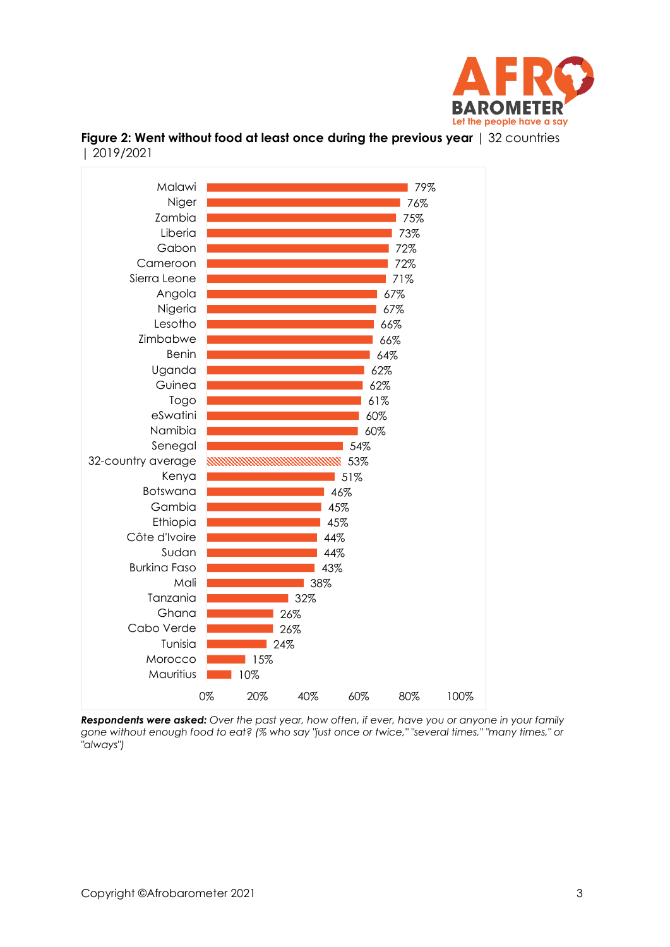



**Figure 2: Went without food at least once during the previous year** | 32 countries | 2019/2021

*Respondents were asked: Over the past year, how often, if ever, have you or anyone in your family gone without enough food to eat? (% who say "just once or twice," "several times," "many times," or "always")*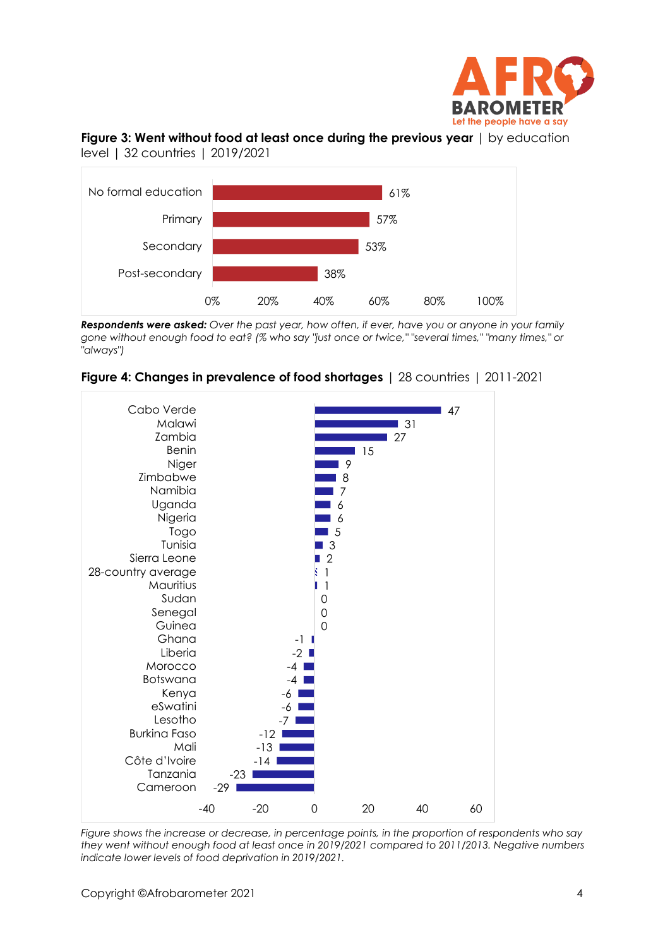

#### **Figure 3: Went without food at least once during the previous year** | by education level | 32 countries | 2019/2021



*Respondents were asked: Over the past year, how often, if ever, have you or anyone in your family gone without enough food to eat? (% who say "just once or twice," "several times," "many times," or "always")*





*Figure shows the increase or decrease, in percentage points, in the proportion of respondents who say they went without enough food at least once in 2019/2021 compared to 2011/2013. Negative numbers indicate lower levels of food deprivation in 2019/2021.*